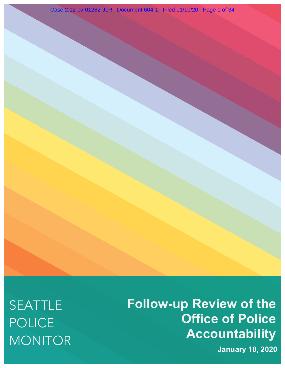SEATTLE POLICE MONITOR **Follow-up Review of the Office of Police Accountability**

**January 10, 2020**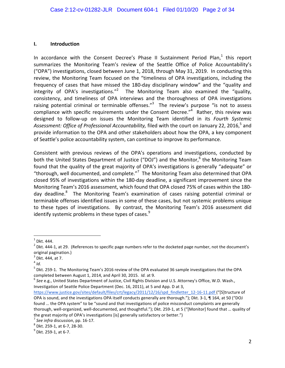#### **I. Introduction**

In accordance with the Consent Decree's Phase II Sustainment Period Plan, $1$  this report summarizes the Monitoring Team's review of the Seattle Office of Police Accountability's ("OPA") investigations, closed between June 1, 2018, through May 31, 2019. In conducting this review, the Monitoring Team focused on the "timeliness of OPA investigations, including the frequency of cases that have missed the 180-day disciplinary window" and the "quality and integrity of OPA's investigations."<sup>2</sup> The Monitoring Team also examined the "quality, consistency, and timeliness of OPA interviews and the thoroughness of OPA investigations raising potential criminal or terminable offenses."<sup>3</sup> The review's purpose "is not to assess compliance with specific requirements under the Consent Decree." $4$  Rather, this review was designed to follow-up on issues the Monitoring Team identified in its Fourth Systemic Assessment: Office of Professional Accountability, filed with the court on January 22, 2016.<sup>5</sup> and provide information to the OPA and other stakeholders about how the OPA, a key component of Seattle's police accountability system, can continue to improve its performance.

Consistent with previous reviews of the OPA's operations and investigations, conducted by both the United States Department of Justice ("DOJ") and the Monitor,<sup>6</sup> the Monitoring Team found that the quality of the great majority of OPA's investigations is generally "adequate" or "thorough, well documented, and complete." $7$  The Monitoring Team also determined that OPA closed 95% of investigations within the 180-day deadline, a significant improvement since the Monitoring Team's 2016 assessment, which found that OPA closed 75% of cases within the 180day deadline.<sup>8</sup> The Monitoring Team's examination of cases raising potential criminal or terminable offenses identified issues in some of these cases, but not systemic problems unique to these types of investigations. By contrast, the Monitoring Team's 2016 assessment did identify systemic problems in these types of cases. $^9$ 

 $<sup>1</sup>$  Dkt. 444.</sup>

 $2$  Dkt. 444-1, at 29. (References to specific page numbers refer to the docketed page number, not the document's original pagination.)

 $3$  Dkt. 444, at 7.

<sup>4</sup> *Id.*

 $<sup>5</sup>$  Dkt. 259-1. The Monitoring Team's 2016 review of the OPA evaluated 36 sample investigations that the OPA</sup> completed between August 1, 2014, and April 30, 2015. *Id.* at 9.<br><sup>6</sup> See e.g., United States Department of Justice, Civil Rights Division and U.S. Attorney's Office, W.D. Wash.,

Investigation of Seattle Police Department (Dec. 16, 2011), at 5 and App. D at 3,

https://www.justice.gov/sites/default/files/crt/legacy/2011/12/16/spd\_findletter\_12-16-11.pdf ("[S]tructure of OPA is sound, and the investigations OPA itself conducts generally are thorough."); Dkt. 3-1, ¶ 164, at 50 ("DOJ found ... the OPA system" to be "sound and that investigations of police misconduct complaints are generally thorough, well-organized, well-documented, and thoughtful."); Dkt. 259-1, at 5 ("[Monitor] found that ... quality of the great majority of OPA's investigations [is] generally satisfactory or better.")

<sup>&</sup>lt;sup>7</sup> See infra discussion, pp. 16-17.<br><sup>8</sup> Dkt. 259-1, at 6-7, 28-30.<br><sup>9</sup> Dkt. 259-1, at 6-7.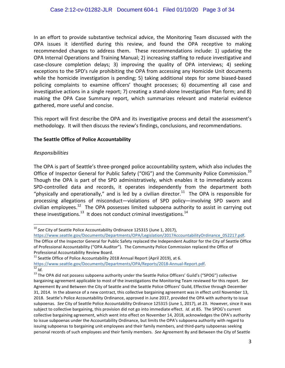In an effort to provide substantive technical advice, the Monitoring Team discussed with the OPA issues it identified during this review, and found the OPA receptive to making recommended changes to address them. These recommendations include: 1) updating the OPA Internal Operations and Training Manual; 2) increasing staffing to reduce investigative and case-closure completion delays; 3) improving the quality of OPA interviews; 4) seeking exceptions to the SPD's rule prohibiting the OPA from accessing any Homicide Unit documents while the homicide investigation is pending; 5) taking additional steps for some biased-based policing complaints to examine officers' thought processes; 6) documenting all case and investigative actions in a single report; 7) creating a stand-alone Investigation Plan form; and 8) making the OPA Case Summary report, which summarizes relevant and material evidence gathered, more useful and concise.

This report will first describe the OPA and its investigative process and detail the assessment's methodology. It will then discuss the review's findings, conclusions, and recommendations.

## **The Seattle Office of Police Accountability**

## *Responsibilities*

The OPA is part of Seattle's three-pronged police accountability system, which also includes the Office of Inspector General for Public Safety ("OIG") and the Community Police Commission.<sup>10</sup> Though the OPA is part of the SPD administratively, which enables it to immediately access SPD-controlled data and records, it operates independently from the department both "physically and operationally," and is led by a civilian director.<sup>11</sup> The OPA is responsible for processing allegations of misconduct—violations of SPD policy—involving SPD sworn and civilian employees.<sup>12</sup> The OPA possesses limited subpoena authority to assist in carrying out these investigations.<sup>13</sup> It does not conduct criminal investigations.<sup>14</sup>

https://www.seattle.gov/Documents/Departments/OPA/Legislation/2017AccountabilityOrdinance\_052217.pdf. 

<sup>&</sup>lt;sup>10</sup> See City of Seattle Police Accountability Ordinance 125315 (June 1, 2017),

The Office of the Inspector General for Public Safety replaced the Independent Auditor for the City of Seattle Office of Professional Accountability ("OPA Auditor"). The Community Police Commission replaced the Office of Professional Accountability Review Board.

 $^{11}$  Seattle Office of Police Accountability 2018 Annual Report (April 2019), at 6.

https://www.seattle.gov/Documents/Departments/OPA/Reports/2018-Annual-Report.pdf.<br><sup>12</sup> *Id.*<br><sup>13</sup> The OPA did not possess subpoena authority under the Seattle Police Officers' Guild's ("SPOG") collective

bargaining agreement applicable to most of the investigations the Monitoring Team reviewed for this report. See Agreement By and Between the City of Seattle and the Seattle Police Officers' Guild, Effective through December 31, 2014. In the absence of a new contract, this collective bargaining agreement was in effect until November 13, 2018. Seattle's Police Accountability Ordinance, approved in June 2017, provided the OPA with authority to issue subpoenas. See City of Seattle Police Accountability Ordinance 125315 (June 1, 2017), at 23. However, since it was subject to collective bargaining, this provision did not go into immediate effect. *Id.* at 85. The SPOG's current collective bargaining agreement, which went into effect on November 14, 2018, acknowledges the OPA's authority to issue subpoenas under the Accountability Ordinance, but limits the OPA's subpoena authority with regard to issuing subpoenas to bargaining unit employees and their family members, and third-party subpoenas seeking personal records of such employees and their family members. See Agreement By and Between the City of Seattle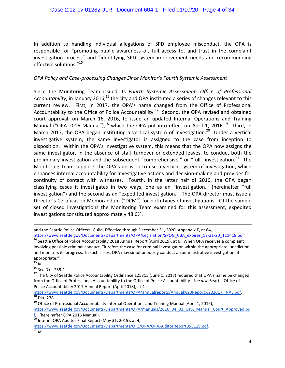In addition to handling individual allegations of SPD employee misconduct, the OPA is responsible for "promoting public awareness of, full access to, and trust in the complaint investigation process" and "identifying SPD system improvement needs and recommending effective solutions. $115$ 

## *OPA Policy and Case-processing Changes Since Monitor's Fourth Systemic Assessment*

Since the Monitoring Team issued its *Fourth Systemic Assessment: Office of Professional* Accountability, in January 2016,<sup>16</sup> the city and OPA instituted a series of changes relevant to this current review. First, in 2017, the OPA's name changed from the Office of Professional Accountability to the Office of Police Accountability.<sup>17</sup> Second, the OPA revised and obtained court approval, on March 16, 2016, to issue an updated Internal Operations and Training Manual ("OPA 2016 Manual"),<sup>18</sup> which the OPA put into effect on April 1, 2016.<sup>19</sup> Third, in March 2017, the OPA began instituting a vertical system of investigation.<sup>20</sup> Under a vertical investigative system, the same investigator is assigned to the case from inception to disposition. Within the OPA's investigative system, this means that the OPA now assigns the same investigator, in the absence of staff turnover or extended leaves, to conduct both the preliminary investigation and the subsequent "comprehensive," or "full" investigation.<sup>21</sup> The Monitoring Team supports the OPA's decision to use a vertical system of investigation, which enhances internal accountability for investigative actions and decision-making and provides for continuity of contact with witnesses. Fourth, in the latter half of 2016, the OPA began classifying cases it investigates in two ways, one as an "investigation," (hereinafter "full investigation") and the second as an "expedited investigation." The OPA director must issue a Director's Certification Memorandum ("DCM") for both types of investigations. Of the sample set of closed investigations the Monitoring Team examined for this assessment, expedited investigations constituted approximately 48.6%.

<u> 1989 - Jan Sarajević, politički predsjednik i politički predsjednik i politički politički politički političk</u>

https://www.seattle.gov/Documents/Departments/OPA/annualreports/Annual%20Report%202017FINAL.pdf.<br><sup>18</sup> Dkt. 278. 19 Office of Professional Accountability Internal Operations and Training Manual (April 1, 2016),

https://www.seattle.gov/Documents/Departments/OPA/manuals/2016\_04\_01\_OPA\_Manual\_Court\_Approved.pd

f, (hereinafter OPA 2016 Manual).

https://www.seattle.gov/Documents/Departments/OIG/OPA/OPAAuditorReport053119.pdf. <sup>21</sup> *Id*. 

and the Seattle Police Officers' Guild, Effective through December 31, 2020, Appendix E, at 84, https://www.seattle.gov/Documents/Departments/OPA/Legislation/SPOG\_CBA\_expires\_12-31-20\_111418.pdf <sup>14</sup> Seattle Office of Police Accountability 2018 Annual Report (April 2019), at 6. When OPA receives a complaint

involving possible criminal conduct, "it refers the case for criminal investigation within the appropriate jurisdiction and monitors its progress. In such cases, OPA may simultaneously conduct an administrative investigation, if appropriate."<br> $^{15}$  *ld.* 

<sup>&</sup>lt;sup>16</sup> See Dkt. 259-1.<br><sup>17</sup> The City of Seattle Police Accountability Ordinance 125315 (June 1, 2017) required that OPA's name be changed from the Office of Professional Accountability to the Office of Police Accountability. See also Seattle Office of Police Accountability 2017 Annual Report (April 2018), at 4,

 $\frac{1}{20}$  Interim OPA Auditor Final Report (May 31, 2019), at 4,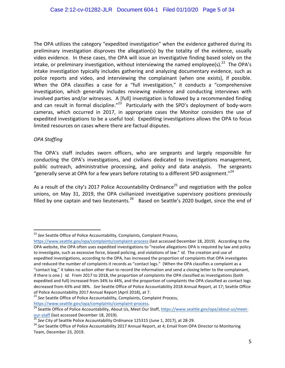The OPA utilizes the category "expedited investigation" when the evidence gathered during its preliminary investigation disproves the allegation(s) by the totality of the evidence, usually video evidence. In these cases, the OPA will issue an investigative finding based solely on the intake, or preliminary investigation, without interviewing the named employee(s).<sup>22</sup> The OPA's intake investigation typically includes gathering and analyzing documentary evidence, such as police reports and video, and interviewing the complainant (when one exists), if possible. When the OPA classifies a case for a "full investigation," it conducts a "comprehensive investigation, which generally includes reviewing evidence and conducting interviews with involved parties and/or witnesses. A [full] investigation is followed by a recommended finding and can result in formal discipline."<sup>23</sup> Particularly with the SPD's deployment of body-worn cameras, which occurred in 2017, in appropriate cases the Monitor considers the use of expedited investigations to be a useful tool. Expediting investigations allows the OPA to focus limited resources on cases where there are factual disputes.

# *OPA Staffing*

The OPA's staff includes sworn officers, who are sergeants and largely responsible for conducting the OPA's investigations, and civilians dedicated to investigations management, public outreach, administrative processing, and policy and data analysis. The sergeants "generally serve at OPA for a few years before rotating to a different SPD assignment."<sup>24</sup>

As a result of the city's 2017 Police Accountability Ordinance<sup>25</sup> and negotiation with the police unions, on May 31, 2019, the OPA civilianized investigative supervisory positions previously filled by one captain and two lieutenants.<sup>26</sup> Based on Seattle's 2020 budget, since the end of

<sup>&</sup>lt;sup>22</sup> See Seattle Office of Police Accountability, Complaints, Complaint Process,

https://www.seattle.gov/opa/complaints/complaint-process (last accessed December 18, 2019). According to the OPA website, the OPA often uses expedited investigations to "resolve allegations OPA is required by law and policy to investigate, such as excessive force, biased policing, and violations of law." *Id.* The creation and use of expedited investigations, according to the OPA, has increased the proportion of complaints that OPA investigates and reduced the number of complaints it records as "contact logs." (When the OPA classifies a complaint as a "contact log," it takes no action other than to record the information and send a closing letter to the complainant, if there is one.) *Id.* From 2017 to 2018, the proportion of complaints the OPA classified as investigations (both expedited and full) increased from 34% to 44%, and the proportion of complaints the OPA classified as contact logs decreased from 43% and 38%. See Seattle Office of Police Accountability 2018 Annual Report, at 17; Seattle Office

of Police Accountability 2017 Annual Report (April 2018), at 7.<br><sup>23</sup> See Seattle Office of Police Accountability, Complaints, Complaint Process,<br>https://www.seattle.gov/opa/complaints/complaint-process.

<sup>&</sup>lt;sup>24</sup> Seattle Office of Police Accountability, About Us, Meet Our Staff, https://www.seattle.gov/opa/about-us/meetour-staff (last accessed December 18, 2019).<br>
<sup>25</sup> See City of Seattle Police Accountability Ordinance 125315 (June 1, 2017), at 28-29.<br>
<sup>26</sup> See Seattle Office of Police Accountability 2017 Annual Report, at 4; Email fro

Team, December 23, 2019.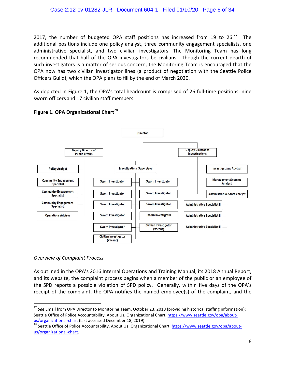2017, the number of budgeted OPA staff positions has increased from 19 to  $26.27$ The additional positions include one policy analyst, three community engagement specialists, one administrative specialist, and two civilian investigators. The Monitoring Team has long recommended that half of the OPA investigators be civilians. Though the current dearth of such investigators is a matter of serious concern, the Monitoring Team is encouraged that the OPA now has two civilian investigator lines (a product of negotiation with the Seattle Police Officers Guild), which the OPA plans to fill by the end of March 2020.

As depicted in Figure 1, the OPA's total headcount is comprised of 26 full-time positions: nine sworn officers and 17 civilian staff members.



# **Figure 1. OPA Organizational Chart**<sup>28</sup>

## *Overview of Complaint Process*

As outlined in the OPA's 2016 Internal Operations and Training Manual, its 2018 Annual Report, and its website, the complaint process begins when a member of the public or an employee of the SPD reports a possible violation of SPD policy. Generally, within five days of the OPA's receipt of the complaint, the OPA notifies the named employee(s) of the complaint, and the

<sup>&</sup>lt;sup>27</sup> See Email from OPA Director to Monitoring Team, October 23, 2018 (providing historical staffing information); Seattle Office of Police Accountability, About Us, Organizational Chart, https://www.seattle.gov/opa/aboutus/organizational-chart (last accessed December 18, 2019).<br><sup>28</sup> Seattle Office of Police Accountability, About Us, Organizational Chart, https://www.seattle.gov/opa/about-

us/organizational-chart.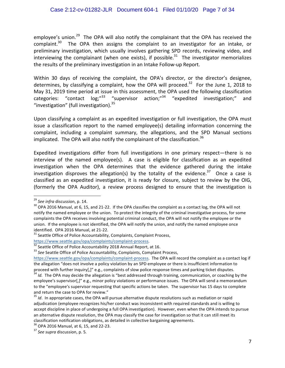employee's union.<sup>29</sup> The OPA will also notify the complainant that the OPA has received the complaint.<sup>30</sup> The OPA then assigns the complaint to an investigator for an intake, or preliminary investigation, which usually involves gathering SPD records, reviewing video, and interviewing the complainant (when one exists), if possible.<sup>31</sup> The investigator memorializes the results of the preliminary investigation in an Intake Follow-up Report.

Within 30 days of receiving the complaint, the OPA's director, or the director's designee, determines, by classifying a complaint, how the OPA will proceed.<sup>32</sup> For the June 1, 2018 to May 31, 2019 time period at issue in this assessment, the OPA used the following classification categories: "contact  $log<sub>i</sub>^{33}$  "supervisor action;"<sup>34</sup> "expedited investigation;" and "investigation" (full investigation).  $35$ 

Upon classifying a complaint as an expedited investigation or full investigation, the OPA must issue a classification report to the named employee(s) detailing information concerning the complaint, including a complaint summary, the allegations, and the SPD Manual sections implicated. The OPA will also notify the complainant of the classification.<sup>36</sup>

Expedited investigations differ from full investigations in one primary respect—there is no interview of the named employee(s). A case is eligible for classification as an expedited investigation when the OPA determines that the evidence gathered during the intake investigation disproves the allegation(s) by the totality of the evidence.<sup>37</sup> Once a case is classified as an expedited investigation, it is ready for closure, subject to review by the OIG, (formerly the OPA Auditor), a review process designed to ensure that the investigation is

<sup>&</sup>lt;sup>29</sup> See infra discussion, p. 14.<br><sup>30</sup> OPA 2016 Manual, at 6, 15, and 21-22. If the OPA classifies the complaint as a contact log, the OPA will not notify the named employee or the union. To protect the integrity of the criminal investigative process, for some complaints the OPA receives involving potential criminal conduct, the OPA will not notify the employee or the union. If the employee is not identified, the OPA will notify the union, and notify the named employee once identified. OPA 2016 Manual, at 21-22.<br><sup>31</sup> Seattle Office of Police Accountability, Complaints, Complaint Process,

https://www.seattle.gov/opa/complaints/complaint-process.<br><sup>32</sup> Seattle Office of Police Accountability 2018 Annual Report, at 16.<br><sup>33</sup> *See* Seattle Office of Police Accountability, Complaints, Complaint Process,

https://www.seattle.gov/opa/complaints/complaint-process. The OPA will record the complaint as a contact log if the allegation "does not involve a policy violation by an SPD employee or there is insufficient information to proceed with further inquiry[,]" e.g., complaints of slow police response times and parking ticket disputes.

<sup>&</sup>lt;sup>34</sup> *Id.* The OPA may decide the allegation is "best addressed through training, communication, or coaching by the employee's supervisor[,]" e.g., minor policy violations or performance issues. The OPA will send a memorandum to the "employee's supervisor requesting that specific actions be taken. The supervisor has 15 days to complete and return the case to OPA for review."

<sup>&</sup>lt;sup>35</sup> *Id.* In appropriate cases, the OPA will pursue alternative dispute resolutions such as mediation or rapid adjudication (employee recognizes his/her conduct was inconsistent with required standards and is willing to accept discipline in place of undergoing a full OPA investigation). However, even when the OPA intends to pursue an alternative dispute resolution, the OPA may classify the case for investigation so that it can still meet its classification notification obligations, as detailed in collective bargaining agreements.

 $3^5$  OPA 2016 Manual, at 6, 15, and 22-23.  $3^7$  *See supra* discussion, p. 5.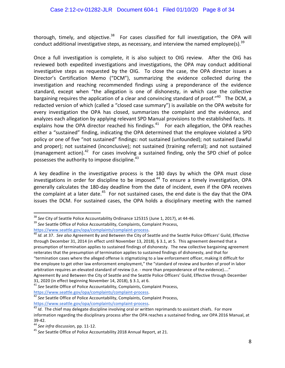thorough, timely, and objective.<sup>38</sup> For cases classified for full investigation, the OPA will conduct additional investigative steps, as necessary, and interview the named employee(s).<sup>39</sup>

Once a full investigation is complete, it is also subject to OIG review. After the OIG has reviewed both expedited investigations and investigations, the OPA may conduct additional investigative steps as requested by the OIG. To close the case, the OPA director issues a Director's Certification Memo ("DCM"), summarizing the evidence collected during the investigation and reaching recommended findings using a preponderance of the evidence standard, except when "the allegation is one of dishonesty, in which case the collective bargaining requires the application of a clear and convincing standard of proof."<sup>40</sup> The DCM, a redacted version of which (called a "closed case summary") is available on the OPA website for every investigation the OPA has closed, summarizes the complaint and the evidence, and analyzes each allegation by applying relevant SPD Manual provisions to the established facts. It explains how the OPA director reached his findings.<sup>41</sup> For each allegation, the OPA reaches either a "sustained" finding, indicating the OPA determined that the employee violated a SPD policy or one of five "not sustained" findings: not sustained (unfounded); not sustained (lawful and proper); not sustained (inconclusive); not sustained (training referral); and not sustained (management action).<sup>42</sup> For cases involving a sustained finding, only the SPD chief of police possesses the authority to impose discipline. $43$ 

A key deadline in the investigative process is the 180 days by which the OPA must close investigations in order for discipline to be imposed.<sup>44</sup> To ensure a timely investigation, OPA generally calculates the 180-day deadline from the date of incident, even if the OPA receives the complaint at a later date.<sup>45</sup> For not sustained cases, the end date is the day that the OPA issues the DCM. For sustained cases, the OPA holds a disciplinary meeting with the named

<sup>&</sup>lt;sup>38</sup> See City of Seattle Police Accountability Ordinance 125315 (June 1, 2017), at 44-46. <br><sup>39</sup> See Seattle Office of Police Accountability, Complaints, Complaint Process,

https://www.seattle.gov/opa/complaints/complaint-process.<br><sup>40</sup> *Id.* at 37. See also Agreement By and Between the City of Seattle and the Seattle Police Officers' Guild, Effective through December 31, 2014 (in effect until November 13, 2018), § 3.1, at 5. This agreement deemed that a presumption of termination applies to sustained findings of dishonesty. The new collective bargaining agreement reiterates that the presumption of termination applies to sustained findings of dishonesty, and that for "termination cases where the alleged offense is stigmatizing to a law enforcement officer, making it difficult for the employee to get other law enforcement employment," the "standard of review and burden of proof in labor arbitration requires an elevated standard of review (i.e. - more than preponderance of the evidence)...."

Agreement By and Between the City of Seattle and the Seattle Police Officers' Guild, Effective through December

<sup>31, 2020 (</sup>in effect beginning November 14, 2018), § 3.1, at 6.<br><sup>41</sup> *See* Seattle Office of Police Accountability, Complaints, Complaint Process,<br>https://www.seattle.gov/opa/complaints/complaint-process.

<sup>&</sup>lt;sup>42</sup> See Seattle Office of Police Accountability, Complaints, Complaint Process, https://www.seattle.gov/opa/complaints/complaint-process.

<sup>&</sup>lt;sup>43</sup> *Id.* The chief may delegate discipline involving oral or written reprimands to assistant chiefs. For more information regarding the disciplinary process after the OPA reaches a sustained finding, see OPA 2016 Manual, at 39-42.<br><sup>44</sup> *See infra* discussion, pp. 11-12.<br><sup>45</sup> *See* Seattle Office of Police Accountability 2018 Annual Report, at 21.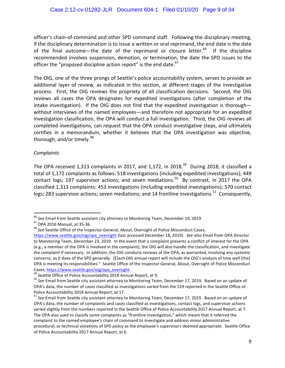officer's chain-of-command and other SPD command staff. Following the disciplinary meeting, if the disciplinary determination is to issue a written or oral reprimand, the end date is the date of the final outcome—the date of the reprimand or closure letter. $46$  If the discipline recommended involves suspension, demotion, or termination, the date the SPD issues to the officer the "proposed discipline action report" is the end date. $47$ 

The OIG, one of the three prongs of Seattle's police accountability system, serves to provide an additional layer of review, as indicated in this section, at different stages of the investigative process. First, the OIG reviews the propriety of all classification decisions. Second, the OIG reviews all cases the OPA designates for expedited investigations (after completion of the intake investigation). If the OIG does not find that the expedited investigation is thorough without interviews of the named employees—and therefore not appropriate for an expedited investigation classification, the OPA will conduct a full investigation. Third, the OIG reviews all completed investigations, can request that the OPA conduct investigative steps, and ultimately certifies in a memorandum, whether it believes that the OPA investigation was objective, thorough, and/or timely.<sup>48</sup>

## *Complaints*

The OPA received 1,313 complaints in 2017, and 1,172, in 2018.<sup>49</sup> During 2018, it classified a total of 1,172 complaints as follows: 518 investigations (including expedited investigations); 449 contact logs; 197 supervisor actions; and seven mediations.<sup>50</sup> By contrast, in 2017 the OPA classified 1,313 complaints: 453 investigations (including expedited investigations); 570 contact logs; 283 supervisor actions; seven mediations; and 14 frontline investigations.<sup>51</sup> Consequently.

<sup>&</sup>lt;sup>46</sup> See Email from Seattle assistant city attorney to Monitoring Team, December 19, 2019<br><sup>47</sup> OPA 2016 Manual, at 35-36.<br><sup>48</sup> See Seattle Office of the Inspector General, About, Oversight of Police Misconduct Cases,

https://www.seattle.gov/oig/opa\_oversight (last accessed December 18, 2019). See also Email from OPA Director to Monitoring Team, December 23, 2019. In the event that a complaint presents a conflict of interest for the OPA (e.g., a member of the OPA is involved in the complaint), the OIG will also handle the classification, and investigate the complaint if necessary. In addition, the OIG conducts reviews of the OPA, as warranted, involving any systemic concerns, as it does of the SPD generally. [E]ach OIG annual report will include the OIG's analysis of how well [the] OPA is meeting its responsibilities." Seattle Office of the Inspector General, About, Oversight of Police Misconduct Cases, https://www.seattle.gov/oig/opa\_oversight.<br><sup>49</sup> Seattle Office of Police Accountability 2018 Annual Report, at 9.<br><sup>50</sup> See Email from Seattle city assistant attorney to Monitoring Team, December 17, 2019. Based on a

OPA's data, the number of cases classified as investigations varied from the 519 reported in the Seattle Office of Police Accountability 2018 Annual Report, at 17.

<sup>&</sup>lt;sup>51</sup> See Email from Seattle city assistant attorney to Monitoring Team, December 17, 2019. Based on an update of OPA's data, the number of complaints and cases classified as investigations, contact logs, and supervisor actions varied slightly from the numbers reported in the Seattle Office of Police Accountability 2017 Annual Report, at 7. The OPA also used to classify some complaints as "frontline investigation," which meant that it referred the complaint to the named employee's chain of command to investigate and address minor administrative procedural, or technical violations of SPD policy as the employee's supervisors deemed appropriate. Seattle Office of Police Accountability 2017 Annual Report, at 6.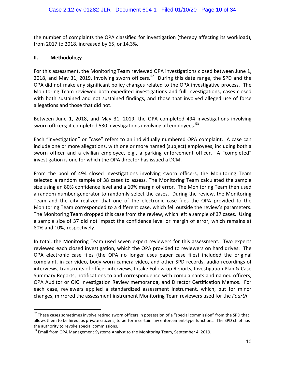the number of complaints the OPA classified for investigation (thereby affecting its workload), from 2017 to 2018, increased by 65, or 14.3%.

### **II. Methodology**

For this assessment, the Monitoring Team reviewed OPA investigations closed between June 1, 2018, and May 31, 2019, involving sworn officers.<sup>52</sup> During this date range, the SPD and the OPA did not make any significant policy changes related to the OPA investigative process. The Monitoring Team reviewed both expedited investigations and full investigations, cases closed with both sustained and not sustained findings, and those that involved alleged use of force allegations and those that did not.

Between June 1, 2018, and May 31, 2019, the OPA completed 494 investigations involving sworn officers; it completed 530 investigations involving all employees.<sup>53</sup>

Each "investigation" or "case" refers to an individually numbered OPA complaint. A case can include one or more allegations, with one or more named (subject) employees, including both a sworn officer and a civilian employee, e.g., a parking enforcement officer. A "completed" investigation is one for which the OPA director has issued a DCM.

From the pool of 494 closed investigations involving sworn officers, the Monitoring Team selected a random sample of 38 cases to assess. The Monitoring Team calculated the sample size using an 80% confidence level and a 10% margin of error. The Monitoring Team then used a random number generator to randomly select the cases. During the review, the Monitoring Team and the city realized that one of the electronic case files the OPA provided to the Monitoring Team corresponded to a different case, which fell outside the review's parameters. The Monitoring Team dropped this case from the review, which left a sample of 37 cases. Using a sample size of 37 did not impact the confidence level or margin of error, which remains at 80% and 10%, respectively.

In total, the Monitoring Team used seven expert reviewers for this assessment. Two experts reviewed each closed investigation, which the OPA provided to reviewers on hard drives. The OPA electronic case files (the OPA no longer uses paper case files) included the original complaint, in-car video, body-worn camera video, and other SPD records, audio recordings of interviews, transcripts of officer interviews, Intake Follow-up Reports, Investigation Plan & Case Summary Reports, notifications to and correspondence with complainants and named officers, OPA Auditor or OIG Investigation Review memoranda, and Director Certification Memos. For each case, reviewers applied a standardized assessment instrument, which, but for minor changes, mirrored the assessment instrument Monitoring Team reviewers used for the *Fourth* 

 $52$  These cases sometimes involve retired sworn officers in possession of a "special commission" from the SPD that allows them to be hired, as private citizens, to perform certain law enforcement-type functions. The SPD chief has the authority to revoke special commissions.<br><sup>53</sup> Email from OPA Management Systems Analyst to the Monitoring Team, September 4, 2019.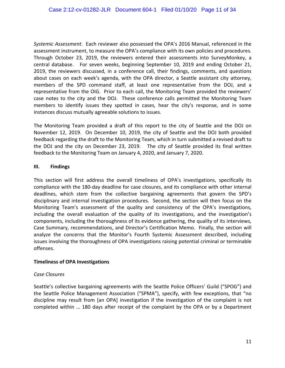*Systemic Assessment*. Each reviewer also possessed the OPA's 2016 Manual, referenced in the assessment instrument, to measure the OPA's compliance with its own policies and procedures. Through October 23, 2019, the reviewers entered their assessments into SurveyMonkey, a central database. For seven weeks, beginning September 10, 2019 and ending October 21, 2019, the reviewers discussed, in a conference call, their findings, comments, and questions about cases on each week's agenda, with the OPA director, a Seattle assistant city attorney, members of the SPD command staff, at least one representative from the DOJ, and a representative from the OIG. Prior to each call, the Monitoring Team provided the reviewers' case notes to the city and the DOJ. These conference calls permitted the Monitoring Team members to identify issues they spotted in cases, hear the city's response, and in some instances discuss mutually agreeable solutions to issues.

The Monitoring Team provided a draft of this report to the city of Seattle and the DOJ on November 12, 2019. On December 10, 2019, the city of Seattle and the DOJ both provided feedback regarding the draft to the Monitoring Team, which in turn submitted a revised draft to the DOJ and the city on December 23, 2019. The city of Seattle provided its final written feedback to the Monitoring Team on January 4, 2020, and January 7, 2020.

## **III. Findings**

This section will first address the overall timeliness of OPA's investigations, specifically its compliance with the 180-day deadline for case closures, and its compliance with other internal deadlines, which stem from the collective bargaining agreements that govern the SPD's disciplinary and internal investigation procedures. Second, the section will then focus on the Monitoring Team's assessment of the quality and consistency of the OPA's investigations, including the overall evaluation of the quality of its investigations, and the investigation's components, including the thoroughness of its evidence gathering, the quality of its interviews, Case Summary, recommendations, and Director's Certification Memo. Finally, the section will analyze the concerns that the Monitor's Fourth Systemic Assessment described, including issues involving the thoroughness of OPA investigations raising potential criminal or terminable offenses. 

## **Timeliness of OPA Investigations**

## *Case Closures*

Seattle's collective bargaining agreements with the Seattle Police Officers' Guild ("SPOG") and the Seattle Police Management Association ("SPMA"), specify, with few exceptions, that "no discipline may result from [an OPA] investigation if the investigation of the complaint is not completed within ... 180 days after receipt of the complaint by the OPA or by a Department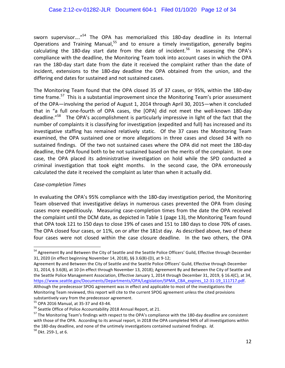sworn supervisor....<sup>"54</sup> The OPA has memorialized this 180-day deadline in its Internal Operations and Training Manual, $55$  and to ensure a timely investigation, generally begins calculating the 180-day start date from the date of incident.<sup>56</sup> In assessing the OPA's compliance with the deadline, the Monitoring Team took into account cases in which the OPA ran the 180-day start date from the date it received the complaint rather than the date of incident, extensions to the 180-day deadline the OPA obtained from the union, and the differing end dates for sustained and not sustained cases.

The Monitoring Team found that the OPA closed 35 of 37 cases, or 95%, within the 180-day time frame.<sup>57</sup> This is a substantial improvement since the Monitoring Team's prior assessment of the OPA—involving the period of August 1, 2014 through April 30, 2015—when it concluded that in "a full one-fourth of OPA cases, the [OPA] did not meet the well-known 180-day deadline."<sup>58</sup> The OPA's accomplishment is particularly impressive in light of the fact that the number of complaints it is classifying for investigation (expedited and full) has increased and its investigative staffing has remained relatively static. Of the 37 cases the Monitoring Team examined, the OPA sustained one or more allegations in three cases and closed 34 with no sustained findings. Of the two not sustained cases where the OPA did not meet the 180-day deadline, the OPA found both to be not sustained based on the merits of the complaint. In one case, the OPA placed its administrative investigation on hold while the SPD conducted a criminal investigation that took eight months. In the second case, the OPA erroneously calculated the date it received the complaint as later than when it actually did.

## *Case-completion Times*

In evaluating the OPA's 95% compliance with the 180-day investigation period, the Monitoring Team observed that investigative delays in numerous cases prevented the OPA from closing cases more expeditiously. Measuring case-completion times from the date the OPA received the complaint until the DCM date, as depicted in Table 1 (page 13), the Monitoring Team found that OPA took 121 to 150 days to close 19% of cases and 151 to 180 days to close 70% of cases. The OPA closed four cases, or 11%, on or after the 181st day. As described above, two of these four cases were not closed within the case closure deadline. In the two others, the OPA

<sup>&</sup>lt;sup>54</sup> Agreement By and Between the City of Seattle and the Seattle Police Officers' Guild, Effective through December 31, 2020 (in effect beginning November 14, 2018), §§ 3.6(B)-(D), at 9-12;

Agreement By and Between the City of Seattle and the Seattle Police Officers' Guild, Effective through December 31, 2014, § 3.6(B), at 10 (in effect through November 13, 2018); Agreement By and Between the City of Seattle and the Seattle Police Management Association, Effective January 1, 2014 through December 31, 2019, § 16.4(C), at 34, https://www.seattle.gov/Documents/Departments/OPA/Legislation/SPMA\_CBA\_expires\_12-31-19\_111717.pdf. Although the predecessor SPOG agreement was in effect and applicable to most of the investigations the Monitoring Team reviewed, this report will cite to the current SPOG agreement unless the cited provisions

substantively vary from the predecessor agreement.<br><sup>55</sup> OPA 2016 Manual, at 35-37 and 43-44.<br><sup>56</sup> Seattle Office of Police Accountability 2018 Annual Report, at 21.<br><sup>57</sup> The Monitoring Team's findings with respect to the O with those of the OPA. According to its annual report, in 2018 the OPA completed 94% of all investigations within the 180-day deadline, and none of the untimely investigations contained sustained findings. *Id*. <sup>58</sup> Dkt. 259-1, at 6.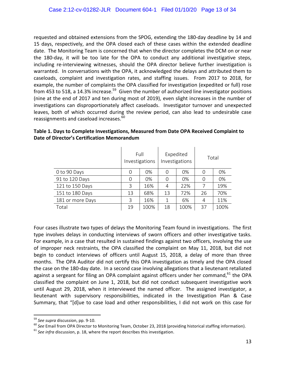requested and obtained extensions from the SPOG, extending the 180-day deadline by 14 and 15 days, respectively, and the OPA closed each of these cases within the extended deadline date. The Monitoring Team is concerned that when the director completes the DCM on or near the 180-day, it will be too late for the OPA to conduct any additional investigative steps, including re-interviewing witnesses, should the OPA director believe further investigation is warranted. In conversations with the OPA, it acknowledged the delays and attributed them to caseloads, complaint and investigation rates, and staffing issues. From 2017 to 2018, for example, the number of complaints the OPA classified for investigation (expedited or full) rose from 453 to 518, a 14.3% increase.<sup>59</sup> Given the number of authorized line investigator positions (nine at the end of 2017 and ten during most of 2019), even slight increases in the number of investigations can disproportionately affect caseloads. Investigator turnover and unexpected leaves, both of which occurred during the review period, can also lead to undesirable case reassignments and caseload increases.<sup>60</sup>

|                  | Full<br>Investigations |      | Expedited<br>Investigations |      | Total |      |
|------------------|------------------------|------|-----------------------------|------|-------|------|
| 0 to 90 Days     | 0                      | 0%   | 0                           | 0%   | 0     | 0%   |
| 91 to 120 Days   | 0                      | 0%   | 0                           | 0%   | 0     | 0%   |
| 121 to 150 Days  | 3                      | 16%  | 4                           | 22%  | 7     | 19%  |
| 151 to 180 Days  | 13                     | 68%  | 13                          | 72%  | 26    | 70%  |
| 181 or more Days | 3                      | 16%  | 1                           | 6%   | 4     | 11%  |
| Total            | 19                     | 100% | 18                          | 100% | 37    | 100% |

# Table 1. Days to Complete Investigations, Measured from Date OPA Received Complaint to Date of Director's Certification Memorandum

Four cases illustrate two types of delays the Monitoring Team found in investigations. The first type involves delays in conducting interviews of sworn officers and other investigative tasks. For example, in a case that resulted in sustained findings against two officers, involving the use of improper neck restraints, the OPA classified the complaint on May 11, 2018, but did not begin to conduct interviews of officers until August 15, 2018, a delay of more than three months. The OPA Auditor did not certify this OPA investigation as timely and the OPA closed the case on the 180-day date. In a second case involving allegations that a lieutenant retaliated against a sergeant for filing an OPA complaint against officers under her command, $61$  the OPA classified the complaint on June 1, 2018, but did not conduct subsequent investigative work until August 29, 2018, when it interviewed the named officer. The assigned investigator, a lieutenant with supervisory responsibilities, indicated in the Investigation Plan & Case Summary, that "[d]ue to case load and other responsibilities, I did not work on this case for

<sup>&</sup>lt;sup>59</sup> See supra discussion, pp. 9-10.<br><sup>60</sup> See Email from OPA Director to Monitoring Team, October 23, 2018 (providing historical staffing information).<br><sup>61</sup> See infra discussion, p. 18, where the report describes this inv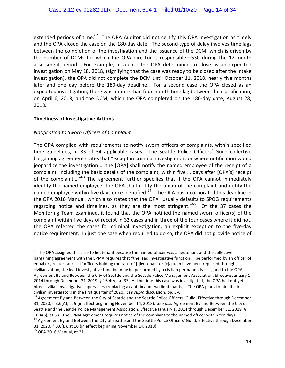extended periods of time.<sup>62</sup> The OPA Auditor did not certify this OPA investigation as timely and the OPA closed the case on the 180-day date. The second type of delay involves time lags between the completion of the investigation and the issuance of the DCM, which is driven by the number of DCMs for which the OPA director is responsible—530 during the 12-month assessment period. For example, in a case the OPA determined to close as an expedited investigation on May 18, 2018, (signifying that the case was ready to be closed after the intake investigation), the OPA did not complete the DCM until October 11, 2018, nearly five months later and one day before the 180-day deadline. For a second case the OPA closed as an expedited investigation, there was a more than four-month time lag between the classification, on April 6, 2018, and the DCM, which the OPA completed on the 180-day date, August 28, 2018. 

### **Timeliness of Investigative Actions**

## *Notification to Sworn Officers of Complaint*

The OPA complied with requirements to notify sworn officers of complaints, within specified time guidelines, in 33 of 34 applicable cases. The Seattle Police Officers' Guild collective bargaining agreement states that "except in criminal investigations or where notification would jeopardize the investigation ... the [OPA] shall notify the named employee of the receipt of a complaint, including the basic details of the complaint, within five ... days after [OPA's] receipt of the complaint...."<sup>63</sup> The agreement further specifies that if the OPA cannot immediately identify the named employee, the OPA shall notify the union of the complaint and notify the named employee within five days once identified. $64$  The OPA has incorporated this deadline in the OPA 2016 Manual, which also states that the OPA "usually defaults to SPOG requirements regarding notice and timelines, as they are the most stringent."<sup>65</sup> Of the 37 cases the Monitoring Team examined, it found that the OPA notified the named sworn officer(s) of the complaint within five days of receipt in 32 cases and in three of the four cases where it did not, the OPA referred the cases for criminal investigation, an explicit exception to the five-day notice requirement. In just one case when required to do so, the OPA did not provide notice of

 $62$  The OPA assigned this case to lieutenant because the named officer was a lieutenant and the collective bargaining agreement with the SPMA requires that "the lead investigative function ... be performed by an officer of equal or greater rank.... If officers holding the rank of [I]ieutenant or [c]aptain have been replaced through civilianization, the lead investigative function may be performed by a civilian permanently assigned to the OPA. Agreement By and Between the City of Seattle and the Seattle Police Management Association, Effective January 1, 2014 through December 31, 2019, § 16.4(A), at 33. At the time this case was investigated, the OPA had not yet hired civilian investigative supervisors (replacing a captain and two lieutenants). The OPA plans to hire its first civilian investigators in the first quarter of 2020. *See supra* discussion, pp. 5-6.<br><sup>63</sup> Agreement By and Between the City of Seattle and the Seattle Police Officers' Guild, Effective through December

<sup>31, 2020, § 3.6(</sup>A), at 9 (in effect beginning November 14, 2018). See also Agreement By and Between the City of Seattle and the Seattle Police Management Association, Effective January 1, 2014 through December 31, 2019, § 16.4(B), at 33. The SPMA agreement requires notice of the complaint to the named officer within ten days. <sup>64</sup> Agreement By and Between the City of Seattle and the Seattle Police Officers' Guild, Effective through December

<sup>31, 2020, § 3.6(</sup>B), at 10 (in effect beginning November 14, 2018).<br><sup>65</sup> OPA 2016 Manual, at 21.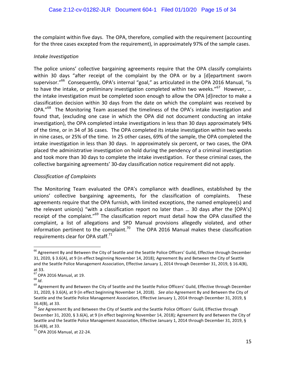the complaint within five days. The OPA, therefore, complied with the requirement (accounting for the three cases excepted from the requirement), in approximately 97% of the sample cases.

## *Intake Investigation*

The police unions' collective bargaining agreements require that the OPA classify complaints within 30 days "after receipt of the complaint by the OPA or by a [d]epartment sworn supervisor."<sup>66</sup> Consequently, OPA's internal "goal," as articulated in the OPA 2016 Manual, "is to have the intake, or preliminary investigation completed within two weeks."<sup>67</sup> However, ... the intake investigation must be completed soon enough to allow the OPA [d]irector to make a classification decision within 30 days from the date on which the complaint was received by OPA."<sup>68</sup> The Monitoring Team assessed the timeliness of the OPA's intake investigation and found that, (excluding one case in which the OPA did not document conducting an intake investigation), the OPA completed intake investigations in less than 30 days approximately 94% of the time, or in 34 of 36 cases. The OPA completed its intake investigation within two weeks in nine cases, or 25% of the time. In 25 other cases, 69% of the sample, the OPA completed the intake investigation in less than 30 days. In approximately six percent, or two cases, the OPA placed the administrative investigation on hold during the pendency of a criminal investigation and took more than 30 days to complete the intake investigation. For these criminal cases, the collective bargaining agreements' 30-day classification notice requirement did not apply.

# *Classification of Complaints*

The Monitoring Team evaluated the OPA's compliance with deadlines, established by the unions' collective bargaining agreements, for the classification of complaints. These agreements require that the OPA furnish, with limited exceptions, the named employee(s) and the relevant union(s) "with a classification report no later than ... 30 days after the  $[OPA's]$ receipt of the complaint." $69$  The classification report must detail how the OPA classified the complaint, a list of allegations and SPD Manual provisions allegedly violated, and other information pertinent to the complaint.<sup>70</sup> The OPA 2016 Manual makes these classification requirements clear for OPA staff.<sup>71</sup>

 $^{66}$  Agreement By and Between the City of Seattle and the Seattle Police Officers' Guild, Effective through December 31, 2020, § 3.6(A), at 9 (in effect beginning November 14, 2018); Agreement By and Between the City of Seattle and the Seattle Police Management Association, Effective January 1, 2014 through December 31, 2019, § 16.4(B), at 33.

<sup>&</sup>lt;sup>67</sup> OPA 2016 Manual, at 19.<br><sup>68</sup> *Id.*<br><sup>69</sup> Agreement By and Between the City of Seattle and the Seattle Police Officers' Guild, Effective through December 31, 2020, § 3.6(A), at 9 (in effect beginning November 14, 2018). See also Agreement By and Between the City of Seattle and the Seattle Police Management Association, Effective January 1, 2014 through December 31, 2019, § 16.4(B), at 33.

<sup>&</sup>lt;sup>70</sup> See Agreement By and Between the City of Seattle and the Seattle Police Officers' Guild, Effective through December 31, 2020, § 3.6(A), at 9 (in effect beginning November 14, 2018); Agreement By and Between the City of Seattle and the Seattle Police Management Association, Effective January 1, 2014 through December 31, 2019, § 16.4(B), at 33.  $71$  OPA 2016 Manual, at 22-24.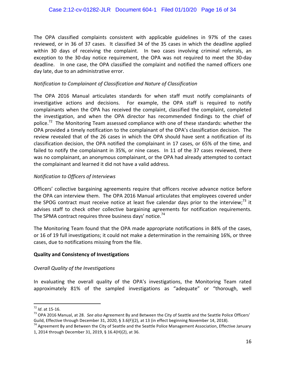The OPA classified complaints consistent with applicable guidelines in 97% of the cases reviewed, or in 36 of 37 cases. It classified 34 of the 35 cases in which the deadline applied within 30 days of receiving the complaint. In two cases involving criminal referrals, an exception to the 30-day notice requirement, the OPA was not required to meet the 30-day deadline. In one case, the OPA classified the complaint and notified the named officers one day late, due to an administrative error.

## *Notification to Complainant of Classification and Nature of Classification*

The OPA 2016 Manual articulates standards for when staff must notify complainants of investigative actions and decisions. For example, the OPA staff is required to notify complainants when the OPA has received the complaint, classified the complaint, completed the investigation, and when the OPA director has recommended findings to the chief of police.<sup>72</sup> The Monitoring Team assessed compliance with one of these standards: whether the OPA provided a timely notification to the complainant of the OPA's classification decision. The review revealed that of the 26 cases in which the OPA should have sent a notification of its classification decision, the OPA notified the complainant in 17 cases, or 65% of the time, and failed to notify the complainant in 35%, or nine cases. In 11 of the 37 cases reviewed, there was no complainant, an anonymous complainant, or the OPA had already attempted to contact the complainant and learned it did not have a valid address.

# *Notification to Officers of Interviews*

Officers' collective bargaining agreements require that officers receive advance notice before the OPA can interview them. The OPA 2016 Manual articulates that employees covered under the SPOG contract must receive notice at least five calendar days prior to the interview;<sup>73</sup> it advises staff to check other collective bargaining agreements for notification requirements. The SPMA contract requires three business days' notice.<sup>74</sup>

The Monitoring Team found that the OPA made appropriate notifications in 84% of the cases, or 16 of 19 full investigations; it could not make a determination in the remaining 16%, or three cases, due to notifications missing from the file.

## **Quality and Consistency of Investigations**

## *Overall Quality of the Investigations*

In evaluating the overall quality of the OPA's investigations, the Monitoring Team rated approximately 81% of the sampled investigations as "adequate" or "thorough, well

<sup>&</sup>lt;sup>72</sup> *Id.* at 15-16.<br><sup>73</sup> OPA 2016 Manual, at 28. See also Agreement By and Between the City of Seattle and the Seattle Police Officers' Guild, Effective through December 31, 2020, § 3.6(F)(2), at 13 (in effect beginning November 14, 2018).

 $74$  Agreement By and Between the City of Seattle and the Seattle Police Management Association, Effective January 1, 2014 through December 31, 2019, § 16.4(H)(2), at 36.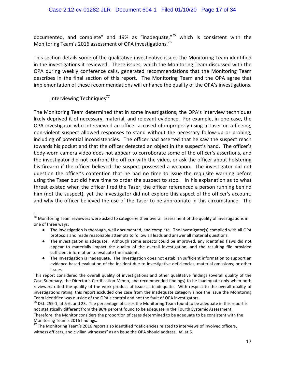documented, and complete" and 19% as "inadequate, $n^{75}$  which is consistent with the Monitoring Team's 2016 assessment of OPA investigations.<sup>76</sup>

This section details some of the qualitative investigative issues the Monitoring Team identified in the investigations it reviewed. These issues, which the Monitoring Team discussed with the OPA during weekly conference calls, generated recommendations that the Monitoring Team describes in the final section of this report. The Monitoring Team and the OPA agree that implementation of these recommendations will enhance the quality of the OPA's investigations.

# Interviewing Techniques<sup>77</sup>

The Monitoring Team determined that in some investigations, the OPA's interview techniques likely deprived it of necessary, material, and relevant evidence. For example, in one case, the OPA investigator who interviewed an officer accused of improperly using a Taser on a fleeing, non-violent suspect allowed responses to stand without the necessary follow-up or probing, including of potential inconsistencies. The officer had asserted that he saw the suspect reach towards his pocket and that the officer detected an object in the suspect's hand. The officer's body-worn camera video does not appear to corroborate some of the officer's assertions, and the investigator did not confront the officer with the video, or ask the officer about holstering his firearm if the officer believed the suspect possessed a weapon. The investigator did not question the officer's contention that he had no time to issue the requisite warning before using the Taser but did have time to order the suspect to stop. In his explanation as to what threat existed when the officer fired the Taser, the officer referenced a person running behind him (not the suspect), yet the investigator did not explore this aspect of the officer's account, and why the officer believed the use of the Taser to be appropriate in this circumstance. The

 $75$  Monitoring Team reviewers were asked to categorize their overall assessment of the quality of investigations in one of three ways:

<sup>•</sup> The investigation is thorough, well documented, and complete. The investigator(s) complied with all OPA protocols and made reasonable attempts to follow all leads and answer all material questions.

<sup>•</sup> The investigation is adequate. Although some aspects could be improved, any identified flaws did not appear to materially impact the quality of the overall investigation, and the resulting file provided sufficient information to evaluate the incident.

<sup>•</sup> The investigation is inadequate. The investigation does not establish sufficient information to support an evidence-based evaluation of the incident due to investigative deficiencies, material omissions, or other issues.

This report considered the overall quality of investigations and other qualitative findings (overall quality of the Case Summary, the Director's Certification Memo, and recommended findings) to be inadequate only when both reviewers rated the quality of the work product at issue as inadequate. With respect to the overall quality of investigations rating, this report excluded one case from the inadequate category since the issue the Monitoring Team identified was outside of the OPA's control and not the fault of OPA investigators.

 $76$  Dkt. 259-1, at 5-6, and 23. The percentage of cases the Monitoring Team found to be adequate in this report is not statistically different from the 86% percent found to be adequate in the Fourth Systemic Assessment.

Therefore, the Monitor considers the proportion of cases determined to be adequate to be consistent with the

Monitoring Team's 2016 findings.<br><sup>77</sup> The Monitoring Team's 2016 report also identified "deficiencies related to interviews of involved officers, witness officers, and civilian witnesses" as an issue the OPA should address. *Id.* at 6.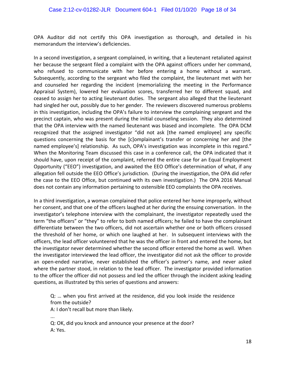OPA Auditor did not certify this OPA investigation as thorough, and detailed in his memorandum the interview's deficiencies.

In a second investigation, a sergeant complained, in writing, that a lieutenant retaliated against her because the sergeant filed a complaint with the OPA against officers under her command, who refused to communicate with her before entering a home without a warrant. Subsequently, according to the sergeant who filed the complaint, the lieutenant met with her and counseled her regarding the incident (memorializing the meeting in the Performance Appraisal System), lowered her evaluation scores, transferred her to different squad, and ceased to assign her to acting lieutenant duties. The sergeant also alleged that the lieutenant had singled her out, possibly due to her gender. The reviewers discovered numerous problems in this investigation, including the OPA's failure to interview the complaining sergeant and the precinct captain, who was present during the initial counseling session. They also determined that the OPA interview with the named lieutenant was biased and incomplete. The OPA DCM recognized that the assigned investigator "did not ask [the named employee] any specific questions concerning the basis for the [c]omplainant's transfer or concerning her and [the named employee's] relationship. As such, OPA's investigation was incomplete in this regard." When the Monitoring Team discussed this case in a conference call, the OPA indicated that it should have, upon receipt of the complaint, referred the entire case for an Equal Employment Opportunity ("EEO") investigation, and awaited the EEO Office's determination of what, if any allegation fell outside the EEO Office's jurisdiction. (During the investigation, the OPA did refer the case to the EEO Office, but continued with its own investigation.) The OPA 2016 Manual does not contain any information pertaining to ostensible EEO complaints the OPA receives.

In a third investigation, a woman complained that police entered her home improperly, without her consent, and that one of the officers laughed at her during the ensuing conversation. In the investigator's telephone interview with the complainant, the investigator repeatedly used the term "the officers" or "they" to refer to both named officers; he failed to have the complainant differentiate between the two officers, did not ascertain whether one or both officers crossed the threshold of her home, or which one laughed at her. In subsequent interviews with the officers, the lead officer volunteered that he was the officer in front and entered the home, but the investigator never determined whether the second officer entered the home as well. When the investigator interviewed the lead officer, the investigator did not ask the officer to provide an open-ended narrative, never established the officer's partner's name, and never asked where the partner stood, in relation to the lead officer. The investigator provided information to the officer the officer did not possess and led the officer through the incident asking leading questions, as illustrated by this series of questions and answers:

Q: ... when you first arrived at the residence, did you look inside the residence from the outside?

A: I don't recall but more than likely.

... 

Q: OK, did you knock and announce your presence at the door? A: Yes.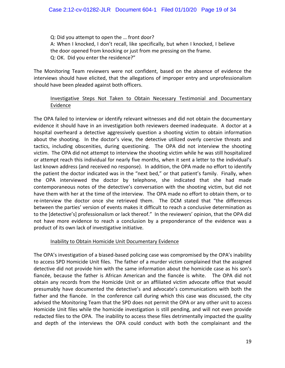Q: Did you attempt to open the ... front door? A: When I knocked, I don't recall, like specifically, but when I knocked, I believe the door opened from knocking or just from me pressing on the frame. Q: OK. Did you enter the residence?"

The Monitoring Team reviewers were not confident, based on the absence of evidence the interviews should have elicited, that the allegations of improper entry and unprofessionalism should have been pleaded against both officers.

## Investigative Steps Not Taken to Obtain Necessary Testimonial and Documentary Evidence

The OPA failed to interview or identify relevant witnesses and did not obtain the documentary evidence it should have in an investigation both reviewers deemed inadequate. A doctor at a hospital overheard a detective aggressively question a shooting victim to obtain information about the shooting. In the doctor's view, the detective utilized overly coercive threats and tactics, including obscenities, during questioning. The OPA did not interview the shooting victim. The OPA did not attempt to interview the shooting victim while he was still hospitalized or attempt reach this individual for nearly five months, when it sent a letter to the individual's last known address (and received no response). In addition, the OPA made no effort to identify the patient the doctor indicated was in the "next bed," or that patient's family. Finally, when the OPA interviewed the doctor by telephone, she indicated that she had made contemporaneous notes of the detective's conversation with the shooting victim, but did not have them with her at the time of the interview. The OPA made no effort to obtain them, or to re-interview the doctor once she retrieved them. The DCM stated that "the differences between the parties' version of events makes it difficult to reach a conclusive determination as to the [detective's] professionalism or lack thereof." In the reviewers' opinion, that the OPA did not have more evidence to reach a conclusion by a preponderance of the evidence was a product of its own lack of investigative initiative.

## Inability to Obtain Homicide Unit Documentary Evidence

The OPA's investigation of a biased-based policing case was compromised by the OPA's inability to access SPD Homicide Unit files. The father of a murder victim complained that the assigned detective did not provide him with the same information about the homicide case as his son's fiancée, because the father is African American and the fiancée is white. The OPA did not obtain any records from the Homicide Unit or an affiliated victim advocate office that would presumably have documented the detective's and advocate's communications with both the father and the fiancée. In the conference call during which this case was discussed, the city advised the Monitoring Team that the SPD does not permit the OPA or any other unit to access Homicide Unit files while the homicide investigation is still pending, and will not even provide redacted files to the OPA. The inability to access these files detrimentally impacted the quality and depth of the interviews the OPA could conduct with both the complainant and the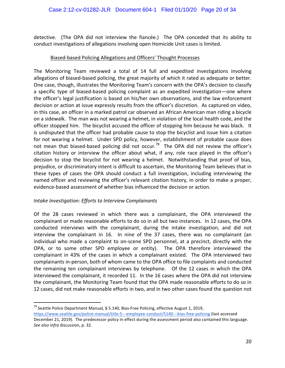detective. (The OPA did not interview the fiancée.) The OPA conceded that its ability to conduct investigations of allegations involving open Homicide Unit cases is limited.

## Biased-based Policing Allegations and Officers' Thought Processes

The Monitoring Team reviewed a total of 14 full and expedited investigations involving allegations of biased-based policing, the great majority of which it rated as adequate or better. One case, though, illustrates the Monitoring Team's concern with the OPA's decision to classify a specific type of biased-based policing complaint as an expedited investigation—one where the officer's legal justification is based on his/her own observations, and the law enforcement decision or action at issue expressly results from the officer's discretion. As captured on video, in this case, an officer in a marked patrol car observed an African American man riding a bicycle on a sidewalk. The man was not wearing a helmet, in violation of the local health code, and the officer stopped him. The bicyclist accused the officer of stopping him because he was black. It is undisputed that the officer had probable cause to stop the bicyclist and issue him a citation for not wearing a helmet. Under SPD policy, however, establishment of probable cause does not mean that biased-based policing did not occur.<sup>78</sup> The OPA did not review the officer's citation history or interview the officer about what, if any, role race played in the officer's decision to stop the bicyclist for not wearing a helmet. Notwithstanding that proof of bias, prejudice, or discriminatory intent is difficult to ascertain, the Monitoring Team believes that in these types of cases the OPA should conduct a full investigation, including interviewing the named officer and reviewing the officer's relevant citation history, in order to make a proper, evidence-based assessment of whether bias influenced the decision or action.

## *Intake Investigation: Efforts to Interview Complainants*

Of the 28 cases reviewed in which there was a complainant, the OPA interviewed the complainant or made reasonable efforts to do so in all but two instances. In 12 cases, the OPA conducted interviews with the complainant, during the intake investigation, and did not interview the complainant in 16. In nine of the 37 cases, there was no complainant (an individual who made a complaint to on-scene SPD personnel, at a precinct, directly with the OPA, or to some other SPD employee or entity). The OPA therefore interviewed the complainant in 43% of the cases in which a complainant existed. The OPA interviewed two complainants in-person, both of whom came to the OPA office to file complaints and conducted the remaining ten complainant interviews by telephone. Of the 12 cases in which the OPA interviewed the complainant, it recorded 11. In the 16 cases where the OPA did not interview the complainant, the Monitoring Team found that the OPA made reasonable efforts to do so in 12 cases, did not make reasonable efforts in two, and in two other cases found the question not

 $^{78}$  Seattle Police Department Manual, § 5.140, Bias-Free Policing, effective August 1, 2019,

https://www.seattle.gov/police-manual/title-5---employee-conduct/5140---bias-free-policing (last accessed December 21, 2019). The predecessor policy in effect during the assessment period also contained this language. *See also infra* discussion, p. 32.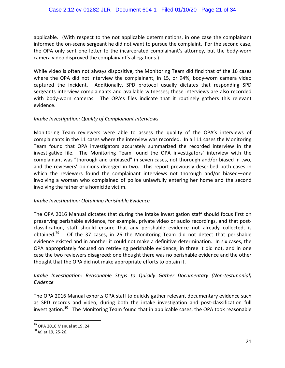applicable. (With respect to the not applicable determinations, in one case the complainant informed the on-scene sergeant he did not want to pursue the complaint. For the second case, the OPA only sent one letter to the incarcerated complainant's attorney, but the body-worn camera video disproved the complainant's allegations.)

While video is often not always dispositive, the Monitoring Team did find that of the 16 cases where the OPA did not interview the complainant, in 15, or 94%, body-worn camera video captured the incident. Additionally, SPD protocol usually dictates that responding SPD sergeants interview complainants and available witnesses; these interviews are also recorded with body-worn cameras. The OPA's files indicate that it routinely gathers this relevant evidence.

### *Intake Investigation: Quality of Complainant Interviews*

Monitoring Team reviewers were able to assess the quality of the OPA's interviews of complainants in the 11 cases where the interview was recorded. In all 11 cases the Monitoring Team found that OPA investigators accurately summarized the recorded interview in the investigative file. The Monitoring Team found the OPA investigators' interview with the complainant was "thorough and unbiased" in seven cases, not thorough and/or biased in two, and the reviewers' opinions diverged in two. This report previously described both cases in which the reviewers found the complainant interviews not thorough and/or biased—one involving a woman who complained of police unlawfully entering her home and the second involving the father of a homicide victim.

## *Intake Investigation: Obtaining Perishable Evidence*

The OPA 2016 Manual dictates that during the intake investigation staff should focus first on preserving perishable evidence, for example, private video or audio recordings, and that postclassification, staff should ensure that any perishable evidence not already collected, is obtained.<sup>79</sup> Of the 37 cases, in 26 the Monitoring Team did not detect that perishable evidence existed and in another it could not make a definitive determination. In six cases, the OPA appropriately focused on retrieving perishable evidence, in three it did not, and in one case the two reviewers disagreed: one thought there was no perishable evidence and the other thought that the OPA did not make appropriate efforts to obtain it.

# Intake Investigation: Reasonable Steps to Quickly Gather Documentary (Non-testimonial) *Evidence*

The OPA 2016 Manual exhorts OPA staff to quickly gather relevant documentary evidence such as SPD records and video, during both the intake investigation and post-classification full investigation.<sup>80</sup> The Monitoring Team found that in applicable cases, the OPA took reasonable

<sup>&</sup>lt;sup>79</sup> OPA 2016 Manual at 19, 24<br><sup>80</sup> *Id.* at 19, 25-26.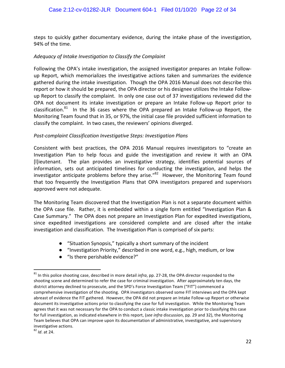steps to quickly gather documentary evidence, during the intake phase of the investigation, 94% of the time.

## Adequacy of Intake Investigation to Classify the Complaint

Following the OPA's intake investigation, the assigned investigator prepares an Intake Followup Report, which memorializes the investigative actions taken and summarizes the evidence gathered during the intake investigation. Though the OPA 2016 Manual does not describe this report or how it should be prepared, the OPA director or his designee utilizes the Intake Followup Report to classify the complaint. In only one case out of 37 investigations reviewed did the OPA not document its intake investigation or prepare an Intake Follow-up Report prior to classification.<sup>81</sup> In the 36 cases where the OPA prepared an Intake Follow-up Report, the Monitoring Team found that in 35, or 97%, the initial case file provided sufficient information to classify the complaint. In two cases, the reviewers' opinions diverged.

### **Post-complaint Classification Investigative Steps: Investigation Plans**

Consistent with best practices, the OPA 2016 Manual requires investigators to "create an Investigation Plan to help focus and guide the investigation and review it with an OPA [I]ieutenant. The plan provides an investigative strategy, identifies potential sources of information, sets out anticipated timelines for conducting the investigation, and helps the investigator anticipate problems before they arise." $82$  However, the Monitoring Team found that too frequently the Investigation Plans that OPA investigators prepared and supervisors approved were not adequate.

The Monitoring Team discovered that the Investigation Plan is not a separate document within the OPA case file. Rather, it is embedded within a single form entitled "Investigation Plan & Case Summary." The OPA does not prepare an Investigation Plan for expedited investigations, since expedited investigations are considered complete and are closed after the intake investigation and classification. The Investigation Plan is comprised of six parts:

- "Situation Synopsis," typically a short summary of the incident
- "Investigation Priority," described in one word, e.g., high, medium, or low
- $\bullet$  "Is there perishable evidence?"

 $81$  In this police shooting case, described in more detail *infra*, pp. 27-28, the OPA director responded to the shooting scene and determined to refer the case for criminal investigation. After approximately ten days, the district attorney declined to prosecute, and the SPD's Force Investigation Team ("FIT") commenced a comprehensive investigation of the shooting. OPA investigators observed some FIT interviews and the OPA kept abreast of evidence the FIT gathered. However, the OPA did not prepare an Intake Follow-up Report or otherwise document its investigative actions prior to classifying the case for full investigation. While the Monitoring Team agrees that it was not necessary for the OPA to conduct a classic intake investigation prior to classifying this case for full investigation, as indicated elsewhere in this report, (see infra discussion, pp. 29 and 32), the Monitoring Team believes that OPA can improve upon its documentation of administrative, investigative, and supervisory investigative actions.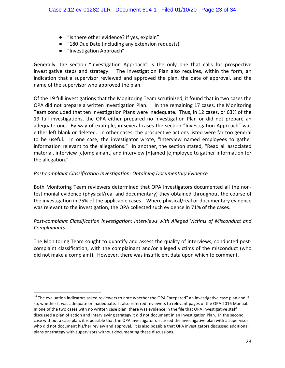- "Is there other evidence? If yes, explain"
- "180 Due Date (including any extension requests)"
- "Investigation Approach"

Generally, the section "Investigation Approach" is the only one that calls for prospective investigative steps and strategy. The Investigation Plan also requires, within the form, an indication that a supervisor reviewed and approved the plan, the date of approval, and the name of the supervisor who approved the plan.

Of the 19 full investigations that the Monitoring Team scrutinized, it found that in two cases the OPA did not prepare a written Investigation Plan.<sup>83</sup> In the remaining 17 cases, the Monitoring Team concluded that ten Investigation Plans were inadequate. Thus, in 12 cases, or 63% of the 19 full investigations, the OPA either prepared no Investigation Plan or did not prepare an adequate one. By way of example, in several cases the section "Investigation Approach" was either left blank or deleted. In other cases, the prospective actions listed were far too general to be useful. In one case, the investigator wrote, "Interview named employees to gather information relevant to the allegations." In another, the section stated, "Read all associated material, interview [c]omplainant, and interview [n]amed [e]mployee to gather information for the allegation."

# Post-complaint Classification Investigation: Obtaining Documentary Evidence

Both Monitoring Team reviewers determined that OPA investigators documented all the nontestimonial evidence (physical/real and documentary) they obtained throughout the course of the investigation in 75% of the applicable cases. Where physical/real or documentary evidence was relevant to the investigation, the OPA collected such evidence in 71% of the cases.

# Post-complaint Classification Investigation: Interviews with Alleged Victims of Misconduct and *Complainants*

The Monitoring Team sought to quantify and assess the quality of interviews, conducted postcomplaint classification, with the complainant and/or alleged victims of the misconduct (who did not make a complaint). However, there was insufficient data upon which to comment.

 $83$  The evaluation indicators asked reviewers to note whether the OPA "prepared" an investigative case plan and if so, whether it was adequate or inadequate. It also referred reviewers to relevant pages of the OPA 2016 Manual. In one of the two cases with no written case plan, there was evidence in the file that OPA investigative staff discussed a plan of action and interviewing strategy it did not document in an Investigation Plan. In the second case without a case plan, it is possible that the OPA investigator discussed the investigative plan with a supervisor who did not document his/her review and approval. It is also possible that OPA investigators discussed additional plans or strategy with supervisors without documenting these discussions.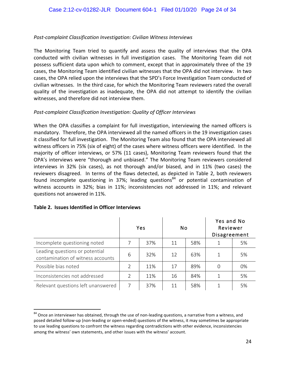## *Post-complaint Classification Investigation: Civilian Witness Interviews*

The Monitoring Team tried to quantify and assess the quality of interviews that the OPA conducted with civilian witnesses in full investigation cases. The Monitoring Team did not possess sufficient data upon which to comment, except that in approximately three of the 19 cases, the Monitoring Team identified civilian witnesses that the OPA did not interview. In two cases, the OPA relied upon the interviews that the SPD's Force Investigation Team conducted of civilian witnesses. In the third case, for which the Monitoring Team reviewers rated the overall quality of the investigation as inadequate, the OPA did not attempt to identify the civilian witnesses, and therefore did not interview them.

### Post-complaint Classification Investigation: Quality of Officer Interviews

When the OPA classifies a complaint for full investigation, interviewing the named officers is mandatory. Therefore, the OPA interviewed all the named officers in the 19 investigation cases it classified for full investigation. The Monitoring Team also found that the OPA interviewed all witness officers in 75% (six of eight) of the cases where witness officers were identified. In the majority of officer interviews, or 57% (11 cases), Monitoring Team reviewers found that the OPA's interviews were "thorough and unbiased." The Monitoring Team reviewers considered interviews in 32% (six cases), as not thorough and/or biased, and in 11% (two cases) the reviewers disagreed. In terms of the flaws detected, as depicted in Table 2, both reviewers found incomplete questioning in 37%; leading questions<sup>84</sup> or potential contamination of witness accounts in 32%; bias in 11%; inconsistencies not addressed in 11%; and relevant questions not answered in 11%.

|                                                                     | Yes |     | No |     | Yes and No<br>Reviewer<br>Disagreement |    |
|---------------------------------------------------------------------|-----|-----|----|-----|----------------------------------------|----|
| Incomplete questioning noted                                        |     | 37% | 11 | 58% |                                        | 5% |
| Leading questions or potential<br>contamination of witness accounts | 6   | 32% | 12 | 63% |                                        | 5% |
| Possible bias noted                                                 | V   | 11% | 17 | 89% | 0                                      | 0% |
| Inconsistencies not addressed                                       | V   | 11% | 16 | 84% |                                        | 5% |
| Relevant questions left unanswered                                  | 7   | 37% | 11 | 58% |                                        | 5% |

#### **Table 2. Issues Identified in Officer Interviews**

<sup>84</sup> Once an interviewer has obtained, through the use of non-leading questions, a narrative from a witness, and posed detailed follow-up (non-leading or open-ended) questions of the witness, it may sometimes be appropriate to use leading questions to confront the witness regarding contradictions with other evidence, inconsistencies among the witness' own statements, and other issues with the witness' account.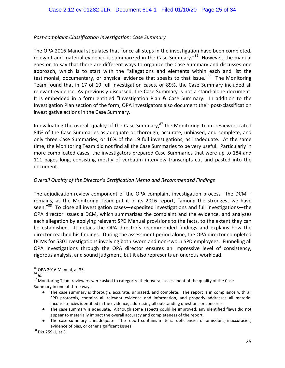# *Post-complaint Classification Investigation: Case Summary*

The OPA 2016 Manual stipulates that "once all steps in the investigation have been completed, relevant and material evidence is summarized in the Case Summary."<sup>85</sup> However, the manual goes on to say that there are different ways to organize the Case Summary and discusses one approach, which is to start with the "allegations and elements within each and list the testimonial, documentary, or physical evidence that speaks to that issue."<sup>86</sup> The Monitoring Team found that in 17 of 19 full investigation cases, or 89%, the Case Summary included all relevant evidence. As previously discussed, the Case Summary is not a stand-alone document. It is embedded in a form entitled "Investigation Plan & Case Summary. In addition to the Investigation Plan section of the form, OPA investigators also document their post-classification investigative actions in the Case Summary.

In evaluating the overall quality of the Case Summary, $^{87}$  the Monitoring Team reviewers rated 84% of the Case Summaries as adequate or thorough, accurate, unbiased, and complete, and only three Case Summaries, or 16% of the 19 full investigations, as inadequate. At the same time, the Monitoring Team did not find all the Case Summaries to be very useful. Particularly in more complicated cases, the investigators prepared Case Summaries that were up to 184 and 111 pages long, consisting mostly of verbatim interview transcripts cut and pasted into the document. 

# *Overall Quality of the Director's Certification Memo and Recommended Findings*

The adjudication-review component of the OPA complaint investigation process—the DCM remains, as the Monitoring Team put it in its 2016 report, "among the strongest we have seen."<sup>88</sup> To close all investigation cases—expedited investigations and full investigations—the OPA director issues a DCM, which summarizes the complaint and the evidence, and analyzes each allegation by applying relevant SPD Manual provisions to the facts, to the extent they can be established. It details the OPA director's recommended findings and explains how the director reached his findings. During the assessment period alone, the OPA director completed DCMs for 530 investigations involving both sworn and non-sworn SPD employees. Funneling all OPA investigations through the OPA director ensures an impressive level of consistency, rigorous analysis, and sound judgment, but it also represents an onerous workload.

- The case summary is thorough, accurate, unbiased, and complete. The report is in compliance with all SPD protocols, contains all relevant evidence and information, and properly addresses all material inconsistencies identified in the evidence, addressing all outstanding questions or concerns.
- The case summary is adequate. Although some aspects could be improved, any identified flaws did not appear to materially impact the overall accuracy and completeness of the report.

<sup>&</sup>lt;sup>85</sup> OPA 2016 Manual, at 35.<br><sup>86</sup> *Id.*<br><sup>87</sup> Monitoring Team reviewers were asked to categorize their overall assessment of the quality of the Case Summary in one of three ways:

The case summary is inadequate. The report contains material deficiencies or omissions, inaccuracies, evidence of bias, or other significant issues.<br>
<sup>88</sup> Dkt 259-1, at 5.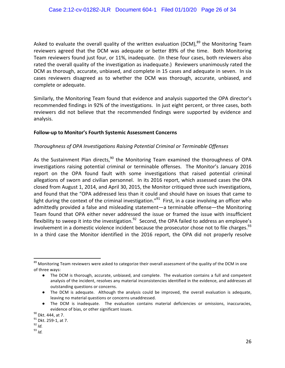Asked to evaluate the overall quality of the written evaluation (DCM), $^{89}$  the Monitoring Team reviewers agreed that the DCM was adequate or better 89% of the time. Both Monitoring Team reviewers found just four, or 11%, inadequate. (In these four cases, both reviewers also rated the overall quality of the investigation as inadequate.) Reviewers unanimously rated the DCM as thorough, accurate, unbiased, and complete in 15 cases and adequate in seven. In six cases reviewers disagreed as to whether the DCM was thorough, accurate, unbiased, and complete or adequate.

Similarly, the Monitoring Team found that evidence and analysis supported the OPA director's recommended findings in 92% of the investigations. In just eight percent, or three cases, both reviewers did not believe that the recommended findings were supported by evidence and analysis.

### Follow-up to Monitor's Fourth Systemic Assessment Concerns

## *Thoroughness of OPA Investigations Raising Potential Criminal or Terminable Offenses*

As the Sustainment Plan directs, $90$  the Monitoring Team examined the thoroughness of OPA investigations raising potential criminal or terminable offenses. The Monitor's January 2016 report on the OPA found fault with some investigations that raised potential criminal allegations of sworn and civilian personnel. In its 2016 report, which assessed cases the OPA closed from August 1, 2014, and April 30, 2015, the Monitor critiqued three such investigations, and found that the "OPA addressed less than it could and should have on issues that came to light during the context of the criminal investigation."<sup>91</sup> First, in a case involving an officer who admittedly provided a false and misleading statement—a terminable offense—the Monitoring Team found that OPA either never addressed the issue or framed the issue with insufficient flexibility to sweep it into the investigation.<sup>92</sup> Second, the OPA failed to address an employee's involvement in a domestic violence incident because the prosecutor chose not to file charges.<sup>93</sup> In a third case the Monitor identified in the 2016 report, the OPA did not properly resolve

<sup>&</sup>lt;sup>89</sup> Monitoring Team reviewers were asked to categorize their overall assessment of the quality of the DCM in one of three ways:

<sup>•</sup> The DCM is thorough, accurate, unbiased, and complete. The evaluation contains a full and competent analysis of the incident, resolves any material inconsistencies identified in the evidence, and addresses all outstanding questions or concerns.

<sup>•</sup> The DCM is adequate. Although the analysis could be improved, the overall evaluation is adequate, leaving no material questions or concerns unaddressed.

The DCM is inadequate. The evaluation contains material deficiencies or omissions, inaccuracies, evidence of bias, or other significant issues.<br><sup>90</sup> Dkt. 444, at 7.<br><sup>91</sup> Dkt. 259-1, at 7.<br><sup>92</sup> *Id.* 93 *Id.*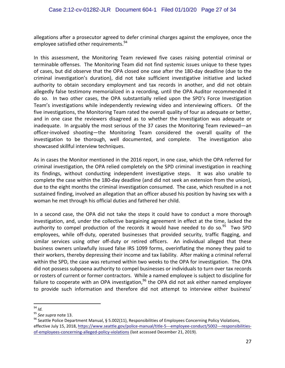allegations after a prosecutor agreed to defer criminal charges against the employee, once the employee satisfied other requirements.<sup>94</sup>

In this assessment, the Monitoring Team reviewed five cases raising potential criminal or terminable offenses. The Monitoring Team did not find systemic issues unique to these types of cases, but did observe that the OPA closed one case after the 180-day deadline (due to the criminal investigation's duration), did not take sufficient investigative initiative and lacked authority to obtain secondary employment and tax records in another, and did not obtain allegedly false testimony memorialized in a recording, until the OPA Auditor recommended it do so. In two other cases, the OPA substantially relied upon the SPD's Force Investigation Team's investigations while independently reviewing video and interviewing officers. Of the five investigations, the Monitoring Team rated the overall quality of four as adequate or better, and in one case the reviewers disagreed as to whether the investigation was adequate or inadequate. In arguably the most serious of the 37 cases the Monitoring Team reviewed—an officer-involved shooting—the Monitoring Team considered the overall quality of the investigation to be thorough, well documented, and complete. The investigation also showcased skillful interview techniques.

As in cases the Monitor mentioned in the 2016 report, in one case, which the OPA referred for criminal investigation, the OPA relied completely on the SPD criminal investigation in reaching its findings, without conducting independent investigative steps. It was also unable to complete the case within the 180-day deadline (and did not seek an extension from the union), due to the eight months the criminal investigation consumed. The case, which resulted in a not sustained finding, involved an allegation that an officer abused his position by having sex with a woman he met through his official duties and fathered her child.

In a second case, the OPA did not take the steps it could have to conduct a more thorough investigation, and, under the collective bargaining agreement in effect at the time, lacked the authority to compel production of the records it would have needed to do so.<sup>95</sup> Two SPD employees, while off-duty, operated businesses that provided security, traffic flagging, and similar services using other off-duty or retired officers. An individual alleged that these business owners unlawfully issued false IRS 1099 forms, overinflating the money they paid to their workers, thereby depressing their income and tax liability. After making a criminal referral within the SPD, the case was returned within two weeks to the OPA for investigation. The OPA did not possess subpoena authority to compel businesses or individuals to turn over tax records or rosters of current or former contractors. While a named employee is subject to discipline for failure to cooperate with an OPA investigation,  $96$  the OPA did not ask either named employee to provide such information and therefore did not attempt to interview either business'

<sup>&</sup>lt;sup>94</sup> *Id.*<br><sup>95</sup> See supra note 13.<br><sup>96</sup> Seattle Police Department Manual, § 5.002(11), Responsibilities of Employees Concerning Policy Violations, effective July 15, 2018, https://www.seattle.gov/police-manual/title-5---employee-conduct/5002---responsibilitiesof-employees-concerning-alleged-policy-violations (last accessed December 21, 2019).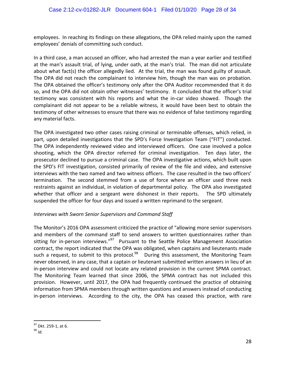employees. In reaching its findings on these allegations, the OPA relied mainly upon the named employees' denials of committing such conduct.

In a third case, a man accused an officer, who had arrested the man a year earlier and testified at the man's assault trial, of lying, under oath, at the man's trial. The man did not articulate about what fact(s) the officer allegedly lied. At the trial, the man was found guilty of assault. The OPA did not reach the complainant to interview him, though the man was on probation. The OPA obtained the officer's testimony only after the OPA Auditor recommended that it do so, and the OPA did not obtain other witnesses' testimony. It concluded that the officer's trial testimony was consistent with his reports and what the in-car video showed. Though the complainant did not appear to be a reliable witness, it would have been best to obtain the testimony of other witnesses to ensure that there was no evidence of false testimony regarding any material facts.

The OPA investigated two other cases raising criminal or terminable offenses, which relied, in part, upon detailed investigations that the SPD's Force Investigation Team ("FIT") conducted. The OPA independently reviewed video and interviewed officers. One case involved a police shooting, which the OPA director referred for criminal investigation. Ten days later, the prosecutor declined to pursue a criminal case. The OPA investigative actions, which built upon the SPD's FIT investigation, consisted primarily of review of the file and video, and extensive interviews with the two named and two witness officers. The case resulted in the two officers' termination. The second stemmed from a use of force where an officer used three neck restraints against an individual, in violation of departmental policy. The OPA also investigated whether that officer and a sergeant were dishonest in their reports. The SPD ultimately suspended the officer for four days and issued a written reprimand to the sergeant.

## **Interviews with Sworn Senior Supervisors and Command Staff**

The Monitor's 2016 OPA assessment criticized the practice of "allowing more senior supervisors and members of the command staff to send answers to written questionnaires rather than sitting for in-person interviews."<sup>97</sup> Pursuant to the Seattle Police Management Association contract, the report indicated that the OPA was obligated, when captains and lieutenants made such a request, to submit to this protocol.<sup>98</sup> During this assessment, the Monitoring Team never observed, in any case, that a captain or lieutenant submitted written answers in lieu of an in-person interview and could not locate any related provision in the current SPMA contract. The Monitoring Team learned that since 2006, the SPMA contract has not included this provision. However, until 2017, the OPA had frequently continued the practice of obtaining information from SPMA members through written questions and answers instead of conducting in-person interviews. According to the city, the OPA has ceased this practice, with rare

<sup>&</sup>lt;sup>97</sup> Dkt. 259-1, at 6.<br><sup>98</sup> *Id*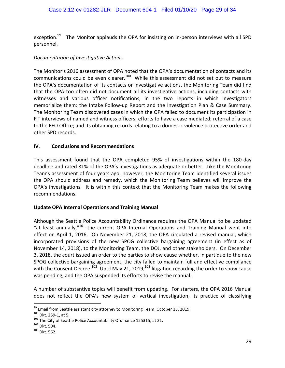exception.<sup>99</sup> The Monitor applauds the OPA for insisting on in-person interviews with all SPD personnel. 

## *Documentation of Investigative Actions*

The Monitor's 2016 assessment of OPA noted that the OPA's documentation of contacts and its communications could be even clearer.<sup>100</sup> While this assessment did not set out to measure the OPA's documentation of its contacts or investigative actions, the Monitoring Team did find that the OPA too often did not document all its investigative actions, including contacts with witnesses and various officer notifications, in the two reports in which investigators memorialize them: the Intake Follow-up Report and the Investigation Plan & Case Summary. The Monitoring Team discovered cases in which the OPA failed to document its participation in FIT interviews of named and witness officers; efforts to have a case mediated; referral of a case to the EEO Office; and its obtaining records relating to a domestic violence protective order and other SPD records.

## **IV**. **Conclusions and Recommendations**

This assessment found that the OPA completed 95% of investigations within the 180-day deadline and rated 81% of the OPA's investigations as adequate or better. Like the Monitoring Team's assessment of four years ago, however, the Monitoring Team identified several issues the OPA should address and remedy, which the Monitoring Team believes will improve the OPA's investigations. It is within this context that the Monitoring Team makes the following recommendations. 

## **Update OPA Internal Operations and Training Manual**

Although the Seattle Police Accountability Ordinance requires the OPA Manual to be updated "at least annually," $101$  the current OPA Internal Operations and Training Manual went into effect on April 1, 2016. On November 21, 2018, the OPA circulated a revised manual, which incorporated provisions of the new SPOG collective bargaining agreement (in effect as of November 14, 2018), to the Monitoring Team, the DOJ, and other stakeholders. On December 3, 2018, the court issued an order to the parties to show cause whether, in part due to the new SPOG collective bargaining agreement, the city failed to maintain full and effective compliance with the Consent Decree.<sup>102</sup> Until May 21, 2019,<sup>103</sup> litigation regarding the order to show cause was pending, and the OPA suspended its efforts to revise the manual.

A number of substantive topics will benefit from updating. For starters, the OPA 2016 Manual does not reflect the OPA's new system of vertical investigation, its practice of classifying

<sup>&</sup>lt;sup>99</sup> Email from Seattle assistant city attorney to Monitoring Team, October 18, 2019.<br><sup>100</sup> Dkt. 259-1, at 5. 101 The City of Seattle Police Accountability Ordinance 125315, at 21. <sup>102</sup> Dkt. 504. 103 Dkt. 562.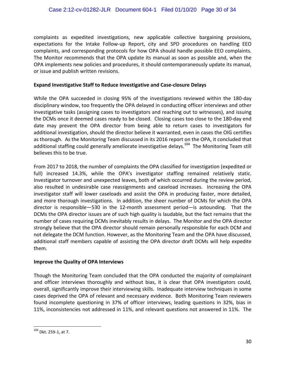complaints as expedited investigations, new applicable collective bargaining provisions, expectations for the Intake Follow-up Report, city and SPD procedures on handling EEO complaints, and corresponding protocols for how OPA should handle possible EEO complaints. The Monitor recommends that the OPA update its manual as soon as possible and, when the OPA implements new policies and procedures, it should contemporaneously update its manual, or issue and publish written revisions.

### **Expand Investigative Staff to Reduce Investigative and Case-closure Delays**

While the OPA succeeded in closing 95% of the investigations reviewed within the 180-day disciplinary window, too frequently the OPA delayed in conducting officer interviews and other investigative tasks (assigning cases to investigators and reaching out to witnesses), and issuing the DCMs once it deemed cases ready to be closed. Closing cases too close to the 180-day end date may prevent the OPA director from being able to return cases to investigators for additional investigation, should the director believe it warranted, even in cases the OIG certifies as thorough. As the Monitoring Team discussed in its 2016 report on the OPA, it concluded that additional staffing could generally ameliorate investigative delays.<sup>104</sup> The Monitoring Team still believes this to be true.

From 2017 to 2018, the number of complaints the OPA classified for investigation (expedited or full) increased 14.3%, while the OPA's investigator staffing remained relatively static. Investigator turnover and unexpected leaves, both of which occurred during the review period, also resulted in undesirable case reassignments and caseload increases. Increasing the OPA investigator staff will lower caseloads and assist the OPA in producing faster, more detailed, and more thorough investigations. In addition, the sheer number of DCMs for which the OPA director is responsible—530 in the 12-month assessment period—is astounding. That the DCMs the OPA director issues are of such high quality is laudable, but the fact remains that the number of cases requiring DCMs inevitably results in delays. The Monitor and the OPA director strongly believe that the OPA director should remain personally responsible for each DCM and not delegate the DCM function. However, as the Monitoring Team and the OPA have discussed, additional staff members capable of assisting the OPA director draft DCMs will help expedite them. 

#### **Improve the Quality of OPA Interviews**

Though the Monitoring Team concluded that the OPA conducted the majority of complainant and officer interviews thoroughly and without bias, it is clear that OPA investigators could, overall, significantly improve their interviewing skills. Inadequate interview techniques in some cases deprived the OPA of relevant and necessary evidence. Both Monitoring Team reviewers found incomplete questioning in 37% of officer interviews, leading questions in 32%, bias in 11%, inconsistencies not addressed in 11%, and relevant questions not answered in 11%. The

 $104$  Dkt. 259-1, at 7.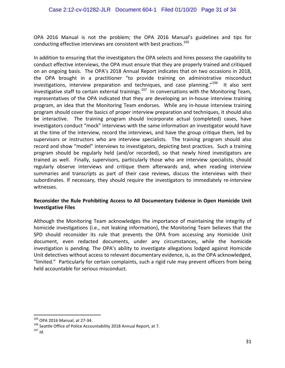OPA 2016 Manual is not the problem; the OPA 2016 Manual's guidelines and tips for conducting effective interviews are consistent with best practices.<sup>105</sup>

In addition to ensuring that the investigators the OPA selects and hires possess the capability to conduct effective interviews, the OPA must ensure that they are properly trained and critiqued on an ongoing basis. The OPA's 2018 Annual Report indicates that on two occasions in 2018, the OPA brought in a practitioner "to provide training on administrative misconduct investigations, interview preparation and techniques, and case planning."<sup>106</sup> It also sent investigative staff to certain external trainings.<sup>107</sup> In conversations with the Monitoring Team, representatives of the OPA indicated that they are developing an in-house interview training program, an idea that the Monitoring Team endorses. While any in-house interview training program should cover the basics of proper interview preparation and techniques, it should also be interactive. The training program should incorporate actual (completed) cases, have investigators conduct "mock" interviews with the same information an investigator would have at the time of the interview, record the interviews, and have the group critique them, led by supervisors or instructors who are interview specialists. The training program should also record and show "model" interviews to investigators, depicting best practices. Such a training program should be regularly held (and/or recorded), so that newly hired investigators are trained as well. Finally, supervisors, particularly those who are interview specialists, should regularly observe interviews and critique them afterwards and, when reading interview summaries and transcripts as part of their case reviews, discuss the interviews with their subordinates. If necessary, they should require the investigators to immediately re-interview witnesses. 

## Reconsider the Rule Prohibiting Access to All Documentary Evidence in Open Homicide Unit **Investigative Files**

Although the Monitoring Team acknowledges the importance of maintaining the integrity of homicide investigations (i.e., not leaking information), the Monitoring Team believes that the SPD should reconsider its rule that prevents the OPA from accessing any Homicide Unit document, even redacted documents, under any circumstances, while the homicide investigation is pending. The OPA's ability to investigate allegations lodged against Homicide Unit detectives without access to relevant documentary evidence, is, as the OPA acknowledged, "limited." Particularly for certain complaints, such a rigid rule may prevent officers from being held accountable for serious misconduct.

<sup>105</sup> OPA 2016 Manual, at 27-34.<br><sup>106</sup> Seattle Office of Police Accountability 2018 Annual Report, at 7.<br><sup>107</sup> *Id*.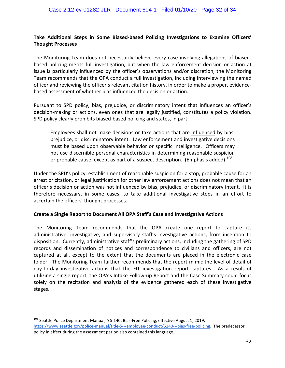## **Take Additional Steps in Some Biased-based Policing Investigations to Examine Officers' Thought Processes**

The Monitoring Team does not necessarily believe every case involving allegations of biasedbased policing merits full investigation, but when the law enforcement decision or action at issue is particularly influenced by the officer's observations and/or discretion, the Monitoring Team recommends that the OPA conduct a full investigation, including interviewing the named officer and reviewing the officer's relevant citation history, in order to make a proper, evidencebased assessment of whether bias influenced the decision or action.

Pursuant to SPD policy, bias, prejudice, or discriminatory intent that influences an officer's decision-making or actions, even ones that are legally justified, constitutes a policy violation. SPD policy clearly prohibits biased-based policing and states, in part:

Employees shall not make decisions or take actions that are influenced by bias, prejudice, or discriminatory intent. Law enforcement and investigative decisions must be based upon observable behavior or specific intelligence. Officers may not use discernible personal characteristics in determining reasonable suspicion or probable cause, except as part of a suspect description. (Emphasis added).<sup>108</sup>

Under the SPD's policy, establishment of reasonable suspicion for a stop, probable cause for an arrest or citation, or legal justification for other law enforcement actions does not mean that an officer's decision or action was not influenced by bias, prejudice, or discriminatory intent. It is therefore necessary, in some cases, to take additional investigative steps in an effort to ascertain the officers' thought processes.

## **Create a Single Report to Document All OPA Staff's Case and Investigative Actions**

The Monitoring Team recommends that the OPA create one report to capture its administrative, investigative, and supervisory staff's investigative actions, from inception to disposition. Currently, administrative staff's preliminary actions, including the gathering of SPD records and dissemination of notices and correspondence to civilians and officers, are not captured at all, except to the extent that the documents are placed in the electronic case folder. The Monitoring Team further recommends that the report mimic the level of detail of day-to-day investigative actions that the FIT investigation report captures. As a result of utilizing a single report, the OPA's Intake Follow-up Report and the Case Summary could focus solely on the recitation and analysis of the evidence gathered each of these investigative stages. 

 $108$  Seattle Police Department Manual, § 5.140, Bias-Free Policing, effective August 1, 2019, https://www.seattle.gov/police-manual/title-5---employee-conduct/5140---bias-free-policing. The predecessor policy in effect during the assessment period also contained this language.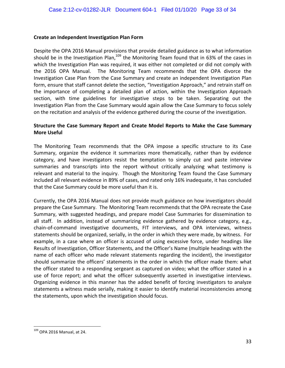#### **Create an Independent Investigation Plan Form**

Despite the OPA 2016 Manual provisions that provide detailed guidance as to what information should be in the Investigation Plan,  $109$  the Monitoring Team found that in 63% of the cases in which the Investigation Plan was required, it was either not completed or did not comply with the 2016 OPA Manual. The Monitoring Team recommends that the OPA divorce the Investigation Case Plan from the Case Summary and create an independent Investigation Plan form, ensure that staff cannot delete the section, "Investigation Approach," and retrain staff on the importance of completing a detailed plan of action, within the Investigation Approach section, with time guidelines for investigative steps to be taken. Separating out the Investigation Plan from the Case Summary would again allow the Case Summary to focus solely on the recitation and analysis of the evidence gathered during the course of the investigation.

### **Structure the Case Summary Report and Create Model Reports to Make the Case Summary More Useful**

The Monitoring Team recommends that the OPA impose a specific structure to its Case Summary, organize the evidence it summarizes more thematically, rather than by evidence category, and have investigators resist the temptation to simply cut and paste interview summaries and transcripts into the report without critically analyzing what testimony is relevant and material to the inquiry. Though the Monitoring Team found the Case Summary included all relevant evidence in 89% of cases, and rated only 16% inadequate, it has concluded that the Case Summary could be more useful than it is.

Currently, the OPA 2016 Manual does not provide much guidance on how investigators should prepare the Case Summary. The Monitoring Team recommends that the OPA recreate the Case Summary, with suggested headings, and prepare model Case Summaries for dissemination to all staff. In addition, instead of summarizing evidence gathered by evidence category, e.g., chain-of-command investigative documents, FIT interviews, and OPA interviews, witness statements should be organized, serially, in the order in which they were made, by witness. For example, in a case where an officer is accused of using excessive force, under headings like Results of Investigation, Officer Statements, and the Officer's Name (multiple headings with the name of each officer who made relevant statements regarding the incident), the investigator should summarize the officers' statements in the order in which the officer made them: what the officer stated to a responding sergeant as captured on video; what the officer stated in a use of force report; and what the officer subsequently asserted in investigative interviews. Organizing evidence in this manner has the added benefit of forcing investigators to analyze statements a witness made serially, making it easier to identify material inconsistencies among the statements, upon which the investigation should focus.

 $109$  OPA 2016 Manual, at 24.